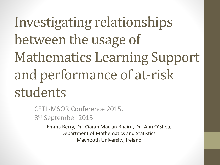# Investigating relationships between the usage of Mathematics Learning Support and performance of at-risk students

CETL-MSOR Conference 2015, 8<sup>th</sup> September 2015

> Emma Berry, Dr. Ciarán Mac an Bhaird, Dr. Ann O'Shea, Department of Mathematics and Statistics. Maynooth University, Ireland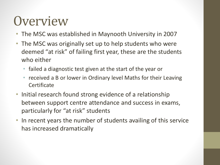#### **Overview**

- The MSC was established in Maynooth University in 2007
- The MSC was originally set up to help students who were deemed "at risk" of failing first year, these are the students who either
	- failed a diagnostic test given at the start of the year or
	- received a B or lower in Ordinary level Maths for their Leaving **Certificate**
- Initial research found strong evidence of a relationship between support centre attendance and success in exams, particularly for "at risk" students
- In recent years the number of students availing of this service has increased dramatically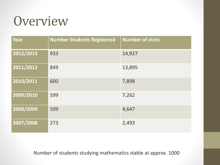#### **Overview**

| <b>Year</b> | <b>Number Students Registered</b> | <b>Number of visits</b> |
|-------------|-----------------------------------|-------------------------|
| 2012/2013   | 933                               | 14,927                  |
| 2011/2012   | 849                               | 13,895                  |
| 2010/2011   | 600                               | 7,898                   |
| 2009/2010   | 599                               | 7,262                   |
| 2008/2009   | 509                               | 4,647                   |
| 2007/2008   | 273                               | 2,493                   |

Number of students studying mathematics stable at approx. 1000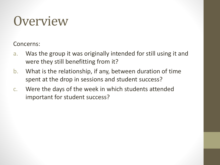#### **Overview**

Concerns:

- a. Was the group it was originally intended for still using it and were they still benefitting from it?
- b. What is the relationship, if any, between duration of time spent at the drop in sessions and student success?
- c. Were the days of the week in which students attended important for student success?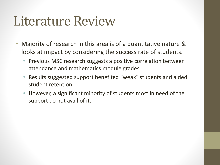#### Literature Review

- Majority of research in this area is of a quantitative nature & looks at impact by considering the success rate of students.
	- Previous MSC research suggests a positive correlation between attendance and mathematics module grades
	- Results suggested support benefited "weak" students and aided student retention
	- However, a significant minority of students most in need of the support do not avail of it.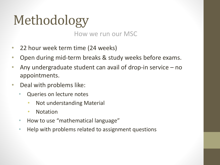# Methodology

How we run our MSC

- 22 hour week term time (24 weeks)
- Open during mid-term breaks & study weeks before exams.
- Any undergraduate student can avail of drop-in service no appointments.
- Deal with problems like:
	- Queries on lecture notes
		- Not understanding Material
		- Notation
	- How to use "mathematical language"
	- Help with problems related to assignment questions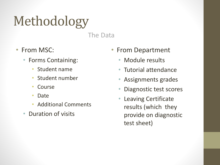# Methodology

The Data

- From MSC:
	- Forms Containing:
		- Student name
		- Student number
		- **Course**
		- Date
		- Additional Comments
	- Duration of visits
- From Department
	- Module results
	- Tutorial attendance
	- Assignments grades
	- Diagnostic test scores
	- Leaving Certificate results (which they provide on diagnostic test sheet)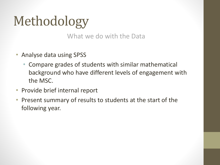## Methodology

What we do with the Data

- Analyse data using SPSS
	- Compare grades of students with similar mathematical background who have different levels of engagement with the MSC.
- Provide brief internal report
- Present summary of results to students at the start of the following year.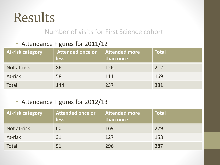#### Number of visits for First Science cohort

#### • Attendance Figures for 2011/12

| <b>At-risk category</b> | <b>Attended once or</b><br>less | Attended more<br>than once | <b>Total</b> |
|-------------------------|---------------------------------|----------------------------|--------------|
| Not at-risk             | 86                              | 126                        | 212          |
| At-risk                 | 58                              | 111                        | 169          |
| <b>Total</b>            | 144                             | 237                        | 381          |

#### • Attendance Figures for 2012/13

| <b>At-risk category</b> | Attended once or<br><b>less</b> | <b>Attended more</b><br>than once | <b>Total</b> |
|-------------------------|---------------------------------|-----------------------------------|--------------|
| Not at-risk             | 60                              | 169                               | 229          |
| At-risk                 | 31                              | 127                               | 158          |
| Total                   | 91                              | 296                               | 387          |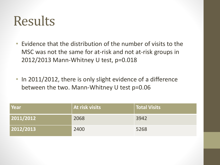- Evidence that the distribution of the number of visits to the MSC was not the same for at-risk and not at-risk groups in 2012/2013 Mann-Whitney U test, p=0.018
- In 2011/2012, there is only slight evidence of a difference between the two. Mann-Whitney U test p=0.06

| Year      | At risk visits | Total Visits |
|-----------|----------------|--------------|
| 2011/2012 | 2068           | 3942         |
| 2012/2013 | 2400           | 5268         |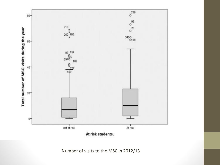

At risk students.

Number of visits to the MSC in 2012/13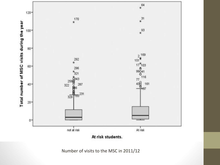

At risk students.

Number of visits to the MSC in 2011/12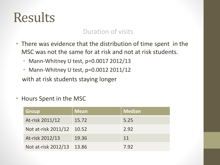#### Duration of visits

- There was evidence that the distribution of time spent in the MSC was not the same for at risk and not at risk students.
	- Mann-Whitney U test, p=0.0017 2012/13
	- Mann-Whitney U test, p=0.0012 2011/12

with at risk students staying longer

• Hours Spent in the MSC

| <b>Group</b>        | <b>Mean</b> | <b>Median</b> |
|---------------------|-------------|---------------|
| At-risk 2011/12     | 15.72       | 5.25          |
| Not at-risk 2011/12 | 10.52       | 2.92          |
| At-risk 2012/13     | 19.36       | 11            |
| Not at-risk 2012/13 | 13.86       | 7.92          |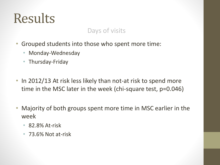#### Days of visits

- Grouped students into those who spent more time:
	- Monday-Wednesday
	- Thursday-Friday
- In 2012/13 At risk less likely than not-at risk to spend more time in the MSC later in the week (chi-square test, p=0.046)
- Majority of both groups spent more time in MSC earlier in the week
	- 82.8% At-risk
	- 73.6% Not at-risk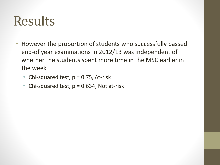- However the proportion of students who successfully passed end-of year examinations in 2012/13 was independent of whether the students spent more time in the MSC earlier in the week
	- Chi-squared test,  $p = 0.75$ , At-risk
	- Chi-squared test,  $p = 0.634$ , Not at-risk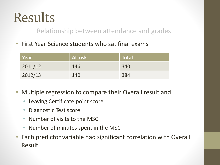Relationship between attendance and grades

• First Year Science students who sat final exams

| Year    | <b>At-risk</b> | $\mid$ Total |
|---------|----------------|--------------|
| 2011/12 | 146            | 340          |
| 2012/13 | 140            | 384          |

- Multiple regression to compare their Overall result and:
	- Leaving Certificate point score
	- Diagnostic Test score
	- Number of visits to the MSC
	- Number of minutes spent in the MSC
- Each predictor variable had significant correlation with Overall Result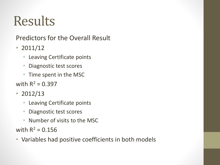Predictors for the Overall Result

- $2011/12$ 
	- Leaving Certificate points
	- Diagnostic test scores
	- Time spent in the MSC
- with  $R^2 = 0.397$
- 2012/13
	- Leaving Certificate points
	- Diagnostic test scores
	- Number of visits to the MSC

with  $R^2 = 0.156$ 

• Variables had positive coefficients in both models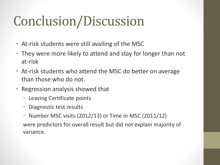### Conclusion/Discussion

- At-risk students were still availing of the MSC
- They were more likely to attend and stay for longer than not at-risk
- At-risk students who attend the MSC do better on average than those who do not.
- Regression analysis showed that
	- Leaving Certificate points
	- Diagnostic test results
	- Number MSC visits (2012/13) or Time in MSC (2011/12)

were predictors for overall result but did not explain majority of variance.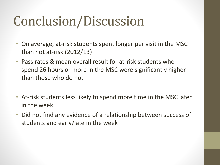### Conclusion/Discussion

- On average, at-risk students spent longer per visit in the MSC than not at-risk (2012/13)
- Pass rates & mean overall result for at-risk students who spend 26 hours or more in the MSC were significantly higher than those who do not
- At-risk students less likely to spend more time in the MSC later in the week
- Did not find any evidence of a relationship between success of students and early/late in the week